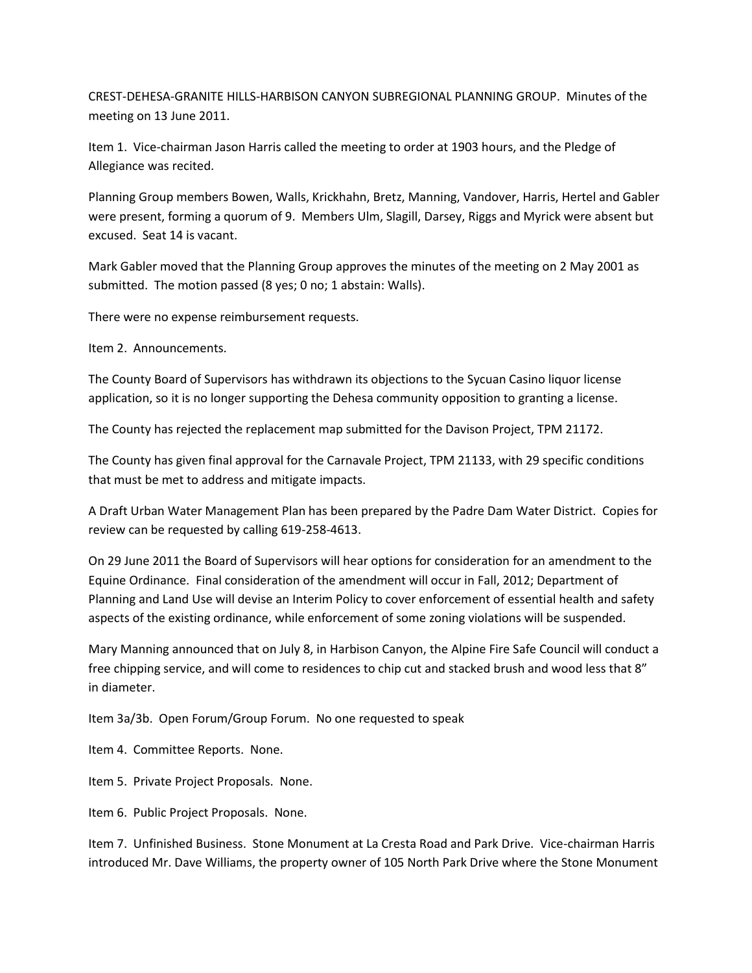CREST-DEHESA-GRANITE HILLS-HARBISON CANYON SUBREGIONAL PLANNING GROUP. Minutes of the meeting on 13 June 2011.

Item 1. Vice-chairman Jason Harris called the meeting to order at 1903 hours, and the Pledge of Allegiance was recited.

Planning Group members Bowen, Walls, Krickhahn, Bretz, Manning, Vandover, Harris, Hertel and Gabler were present, forming a quorum of 9. Members Ulm, Slagill, Darsey, Riggs and Myrick were absent but excused. Seat 14 is vacant.

Mark Gabler moved that the Planning Group approves the minutes of the meeting on 2 May 2001 as submitted. The motion passed (8 yes; 0 no; 1 abstain: Walls).

There were no expense reimbursement requests.

Item 2. Announcements.

The County Board of Supervisors has withdrawn its objections to the Sycuan Casino liquor license application, so it is no longer supporting the Dehesa community opposition to granting a license.

The County has rejected the replacement map submitted for the Davison Project, TPM 21172.

The County has given final approval for the Carnavale Project, TPM 21133, with 29 specific conditions that must be met to address and mitigate impacts.

A Draft Urban Water Management Plan has been prepared by the Padre Dam Water District. Copies for review can be requested by calling 619-258-4613.

On 29 June 2011 the Board of Supervisors will hear options for consideration for an amendment to the Equine Ordinance. Final consideration of the amendment will occur in Fall, 2012; Department of Planning and Land Use will devise an Interim Policy to cover enforcement of essential health and safety aspects of the existing ordinance, while enforcement of some zoning violations will be suspended.

Mary Manning announced that on July 8, in Harbison Canyon, the Alpine Fire Safe Council will conduct a free chipping service, and will come to residences to chip cut and stacked brush and wood less that 8" in diameter.

Item 3a/3b. Open Forum/Group Forum. No one requested to speak

Item 4. Committee Reports. None.

Item 5. Private Project Proposals. None.

Item 6. Public Project Proposals. None.

Item 7. Unfinished Business. Stone Monument at La Cresta Road and Park Drive. Vice-chairman Harris introduced Mr. Dave Williams, the property owner of 105 North Park Drive where the Stone Monument